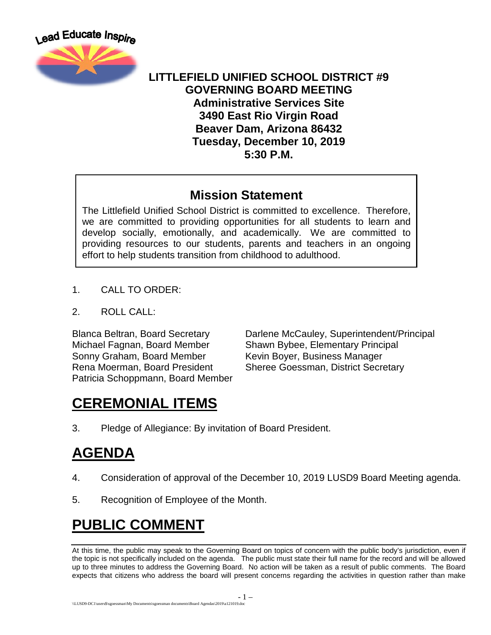

#### **LITTLEFIELD UNIFIED SCHOOL DISTRICT #9 GOVERNING BOARD MEETING Administrative Services Site 3490 East Rio Virgin Road Beaver Dam, Arizona 86432 Tuesday, December 10, 2019 5:30 P.M.**

#### **Mission Statement**

The Littlefield Unified School District is committed to excellence. Therefore, we are committed to providing opportunities for all students to learn and develop socially, emotionally, and academically. We are committed to providing resources to our students, parents and teachers in an ongoing effort to help students transition from childhood to adulthood.

- 1. CALL TO ORDER:
- 2. ROLL CALL:

Michael Fagnan, Board Member Shawn Bybee, Elementary Principal Sonny Graham, Board Member Kevin Boyer, Business Manager Rena Moerman, Board President Sheree Goessman, District Secretary Patricia Schoppmann, Board Member

Blanca Beltran, Board Secretary Darlene McCauley, Superintendent/Principal

## **CEREMONIAL ITEMS**

3. Pledge of Allegiance: By invitation of Board President.

## **AGENDA**

- 4. Consideration of approval of the December 10, 2019 LUSD9 Board Meeting agenda.
- 5. Recognition of Employee of the Month.

## **PUBLIC COMMENT**

At this time, the public may speak to the Governing Board on topics of concern with the public body's jurisdiction, even if the topic is not specifically included on the agenda. The public must state their full name for the record and will be allowed up to three minutes to address the Governing Board. No action will be taken as a result of public comments. The Board expects that citizens who address the board will present concerns regarding the activities in question rather than make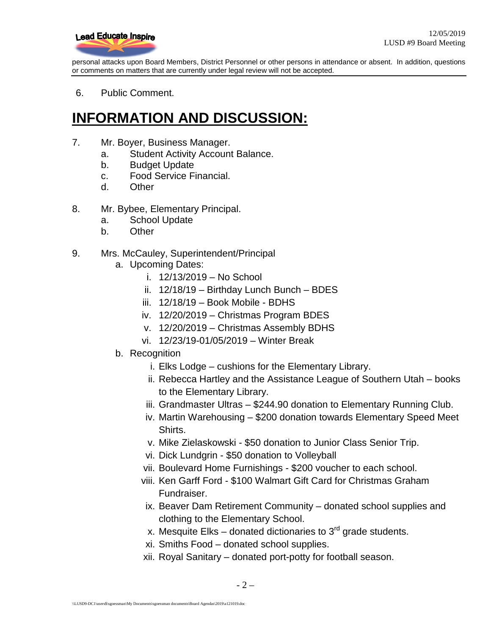

personal attacks upon Board Members, District Personnel or other persons in attendance or absent. In addition, questions or comments on matters that are currently under legal review will not be accepted.

6. Public Comment.

### **INFORMATION AND DISCUSSION:**

- 7. Mr. Boyer, Business Manager.
	- a. Student Activity Account Balance.
	- b. Budget Update
	- c. Food Service Financial.
	- d. Other
- 8. Mr. Bybee, Elementary Principal.
	- a. School Update
	- b. Other
- 9. Mrs. McCauley, Superintendent/Principal
	- a. Upcoming Dates:
		- i. 12/13/2019 No School
		- ii. 12/18/19 Birthday Lunch Bunch BDES
		- iii. 12/18/19 Book Mobile BDHS
		- iv. 12/20/2019 Christmas Program BDES
		- v. 12/20/2019 Christmas Assembly BDHS
		- vi. 12/23/19-01/05/2019 Winter Break
	- b. Recognition
		- i. Elks Lodge cushions for the Elementary Library.
		- ii. Rebecca Hartley and the Assistance League of Southern Utah books to the Elementary Library.
		- iii. Grandmaster Ultras \$244.90 donation to Elementary Running Club.
		- iv. Martin Warehousing \$200 donation towards Elementary Speed Meet Shirts.
		- v. Mike Zielaskowski \$50 donation to Junior Class Senior Trip.
		- vi. Dick Lundgrin \$50 donation to Volleyball
		- vii. Boulevard Home Furnishings \$200 voucher to each school.
		- viii. Ken Garff Ford \$100 Walmart Gift Card for Christmas Graham Fundraiser.
		- ix. Beaver Dam Retirement Community donated school supplies and clothing to the Elementary School.
		- x. Mesquite Elks donated dictionaries to  $3<sup>rd</sup>$  grade students.
		- xi. Smiths Food donated school supplies.
		- xii. Royal Sanitary donated port-potty for football season.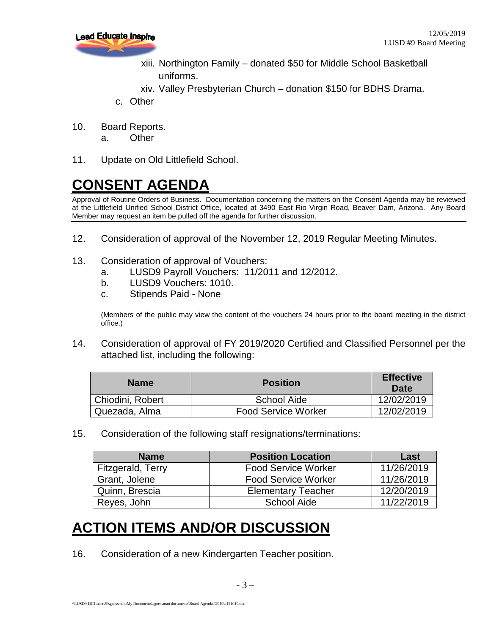

- xiii. Northington Family donated \$50 for Middle School Basketball uniforms.
- xiv. Valley Presbyterian Church donation \$150 for BDHS Drama.
- c. Other
- 10. Board Reports.
	- a. Other
- 11. Update on Old Littlefield School.

# **CONSENT AGENDA**

Approval of Routine Orders of Business. Documentation concerning the matters on the Consent Agenda may be reviewed at the Littlefield Unified School District Office, located at 3490 East Rio Virgin Road, Beaver Dam, Arizona. Any Board Member may request an item be pulled off the agenda for further discussion.

- 12. Consideration of approval of the November 12, 2019 Regular Meeting Minutes.
- 13. Consideration of approval of Vouchers:
	- a. LUSD9 Payroll Vouchers: 11/2011 and 12/2012.
	- b. LUSD9 Vouchers: 1010.
	- c. Stipends Paid None

(Members of the public may view the content of the vouchers 24 hours prior to the board meeting in the district office.)

14. Consideration of approval of FY 2019/2020 Certified and Classified Personnel per the attached list, including the following:

| <b>Name</b>      | <b>Position</b>            | <b>Effective</b><br>Date |
|------------------|----------------------------|--------------------------|
| Chiodini, Robert | School Aide                | 12/02/2019               |
| Quezada, Alma    | <b>Food Service Worker</b> | 12/02/2019               |

15. Consideration of the following staff resignations/terminations:

| <b>Name</b>       | <b>Position Location</b>   | Last       |
|-------------------|----------------------------|------------|
| Fitzgerald, Terry | <b>Food Service Worker</b> | 11/26/2019 |
| Grant, Jolene     | <b>Food Service Worker</b> | 11/26/2019 |
| Quinn, Brescia    | <b>Elementary Teacher</b>  | 12/20/2019 |
| Reyes, John       | <b>School Aide</b>         | 11/22/2019 |

## **ACTION ITEMS AND/OR DISCUSSION**

16. Consideration of a new Kindergarten Teacher position.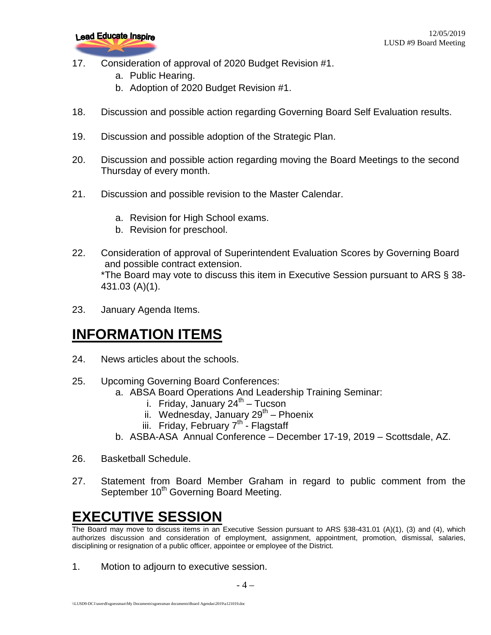

- 17. Consideration of approval of 2020 Budget Revision #1.
	- a. Public Hearing.
	- b. Adoption of 2020 Budget Revision #1.
- 18. Discussion and possible action regarding Governing Board Self Evaluation results.
- 19. Discussion and possible adoption of the Strategic Plan.
- 20. Discussion and possible action regarding moving the Board Meetings to the second Thursday of every month.
- 21. Discussion and possible revision to the Master Calendar.
	- a. Revision for High School exams.
	- b. Revision for preschool.
- 22. Consideration of approval of Superintendent Evaluation Scores by Governing Board and possible contract extension. \*The Board may vote to discuss this item in Executive Session pursuant to ARS § 38- 431.03 (A)(1).
- 23. January Agenda Items.

### **INFORMATION ITEMS**

- 24. News articles about the schools.
- 25. Upcoming Governing Board Conferences:
	- a. ABSA Board Operations And Leadership Training Seminar:
		- i. Friday, January  $24^{th}$  Tucson
		- ii. Wednesday, January  $29^{th}$  Phoenix
		- iii. Friday, February  $7^{th}$  Flagstaff
	- b. ASBA-ASA Annual Conference December 17-19, 2019 Scottsdale, AZ.
- 26. Basketball Schedule.
- 27. Statement from Board Member Graham in regard to public comment from the September 10<sup>th</sup> Governing Board Meeting.

## **EXECUTIVE SESSION**

The Board may move to discuss items in an Executive Session pursuant to ARS §38-431.01 (A)(1), (3) and (4), which authorizes discussion and consideration of employment, assignment, appointment, promotion, dismissal, salaries, disciplining or resignation of a public officer, appointee or employee of the District.

1. Motion to adjourn to executive session.